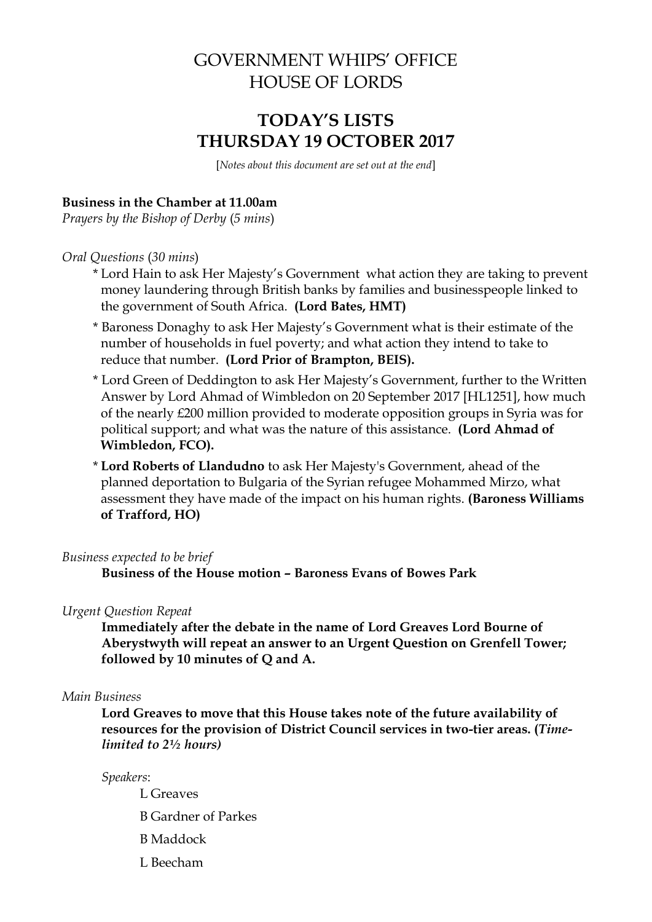# GOVERNMENT WHIPS' OFFICE HOUSE OF LORDS

# **TODAY'S LISTS THURSDAY 19 OCTOBER 2017**

[*Notes about this document are set out at the end*]

### **Business in the Chamber at 11.00am**

*Prayers by the Bishop of Derby* (*5 mins*)

#### *Oral Questions* (*30 mins*)

- \* Lord Hain to ask Her Majesty's Government what action they are taking to prevent money laundering through British banks by families and businesspeople linked to the government of South Africa. **(Lord Bates, HMT)**
- \* Baroness Donaghy to ask Her Majesty's Government what is their estimate of the number of households in fuel poverty; and what action they intend to take to reduce that number. **(Lord Prior of Brampton, BEIS).**
- \* Lord Green of Deddington to ask Her Majesty's Government, further to the Written Answer by Lord Ahmad of Wimbledon on 20 September 2017 [HL1251], how much of the nearly £200 million provided to moderate opposition groups in Syria was for political support; and what was the nature of this assistance. **(Lord Ahmad of Wimbledon, FCO).**
- \* **Lord Roberts of Llandudno** to ask Her Majesty's Government, ahead of the planned deportation to Bulgaria of the Syrian refugee Mohammed Mirzo, what assessment they have made of the impact on his human rights. **(Baroness Williams of Trafford, HO)**

#### *Business expected to be brief*

**Business of the House motion – Baroness Evans of Bowes Park**

#### *Urgent Question Repeat*

**Immediately after the debate in the name of Lord Greaves Lord Bourne of Aberystwyth will repeat an answer to an Urgent Question on Grenfell Tower; followed by 10 minutes of Q and A.**

#### *Main Business*

**Lord Greaves to move that this House takes note of the future availability of resources for the provision of District Council services in two-tier areas. (***Timelimited to 2½ hours)*

#### *Speakers*:

- L Greaves
- B Gardner of Parkes
- B Maddock
- L Beecham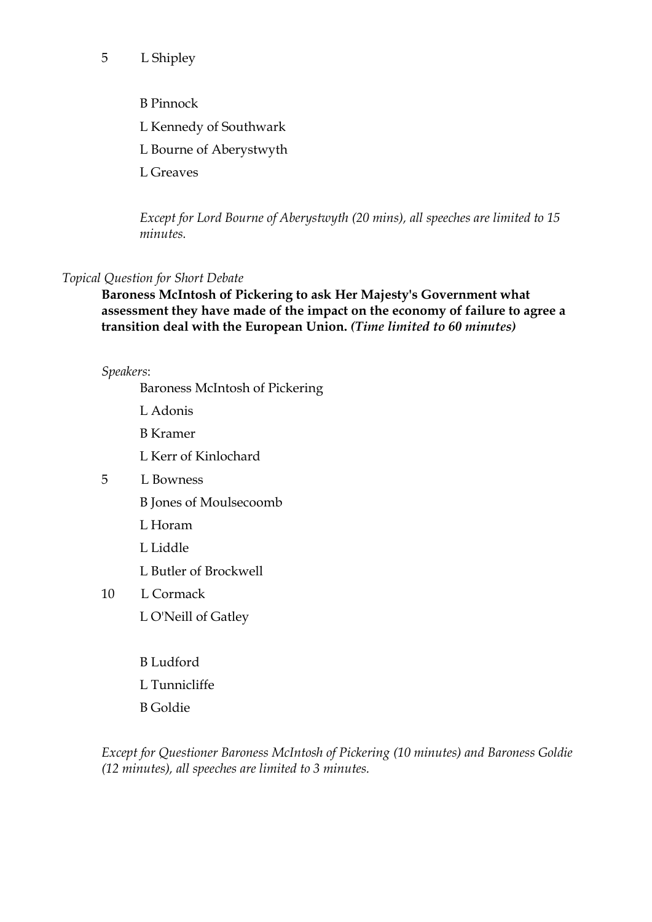## 5 L Shipley

- B Pinnock
- L Kennedy of Southwark
- L Bourne of Aberystwyth
- L Greaves

*Except for Lord Bourne of Aberystwyth (20 mins), all speeches are limited to 15 minutes.*

## *Topical Question for Short Debate*

**Baroness McIntosh of Pickering to ask Her Majesty's Government what assessment they have made of the impact on the economy of failure to agree a transition deal with the European Union.** *(Time limited to 60 minutes)*

## *Speakers*:

Baroness McIntosh of Pickering

- L Adonis
- B Kramer
- L Kerr of Kinlochard
- 5 L Bowness
	- B Jones of Moulsecoomb
	- L Horam
	- L Liddle
	- L Butler of Brockwell
- 10 L Cormack
	- L O'Neill of Gatley
	- B Ludford
	- L Tunnicliffe
	- B Goldie

*Except for Questioner Baroness McIntosh of Pickering (10 minutes) and Baroness Goldie (12 minutes), all speeches are limited to 3 minutes.*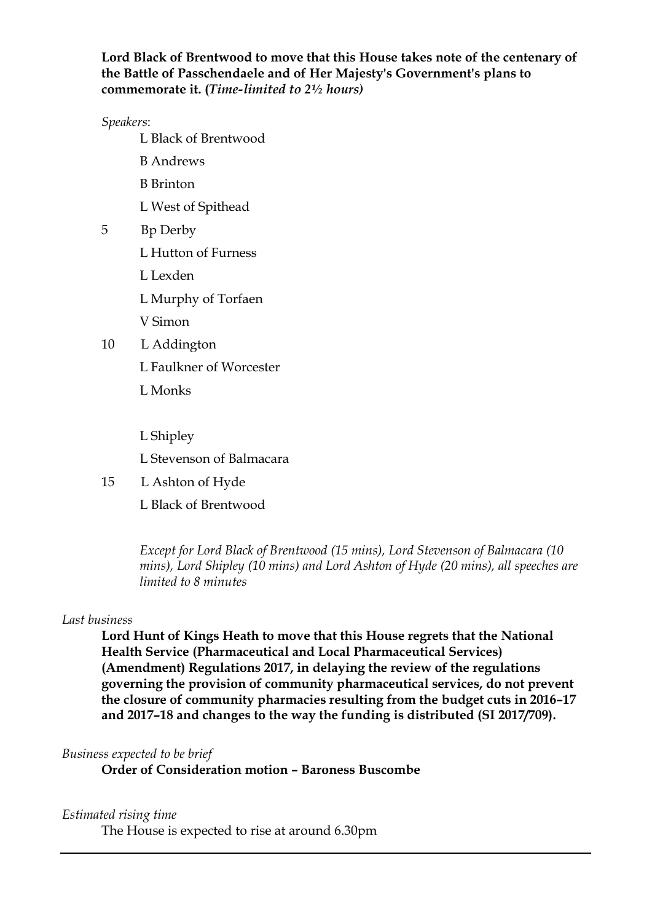## **Lord Black of Brentwood to move that this House takes note of the centenary of the Battle of Passchendaele and of Her Majesty's Government's plans to commemorate it. (***Time-limited to 2½ hours)*

*Speakers*:

L Black of Brentwood

- B Andrews
- B Brinton
- L West of Spithead
- 5 Bp Derby
	- L Hutton of Furness
	- L Lexden
	- L Murphy of Torfaen
	- V Simon
- 10 L Addington
	- L Faulkner of Worcester
	- L Monks
	- L Shipley
	- L Stevenson of Balmacara
- 15 L Ashton of Hyde
	- L Black of Brentwood

*Except for Lord Black of Brentwood (15 mins), Lord Stevenson of Balmacara (10 mins), Lord Shipley (10 mins) and Lord Ashton of Hyde (20 mins), all speeches are limited to 8 minutes*

#### *Last business*

**Lord Hunt of Kings Heath to move that this House regrets that the National Health Service (Pharmaceutical and Local Pharmaceutical Services) (Amendment) Regulations 2017, in delaying the review of the regulations governing the provision of community pharmaceutical services, do not prevent the closure of community pharmacies resulting from the budget cuts in 2016–17 and 2017–18 and changes to the way the funding is distributed (SI 2017/709).**

## *Business expected to be brief*

**Order of Consideration motion – Baroness Buscombe**

## *Estimated rising time*

The House is expected to rise at around 6.30pm